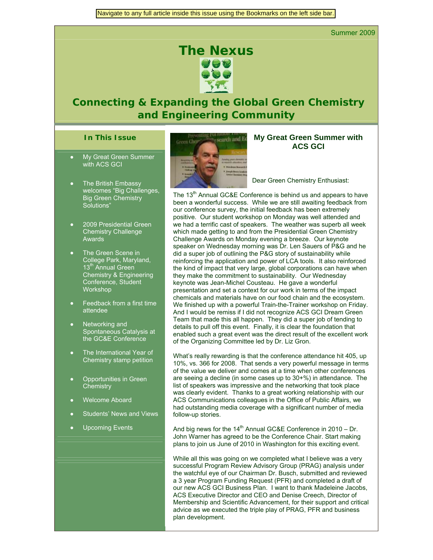Summer 2009

# *The Nexus*

# *Connecting & Expanding the Global Green Chemistry and Engineering Community*

#### **In This Issue**

- My Great Green Summer with ACS GCI
- **The British Embassy** welcomes "Big Challenges, Big Green Chemistry Solutions"
- 2009 Presidential Green **Chemistry Challenge** Awards
- The Green Scene in College Park, Maryland, 13<sup>th</sup> Annual Green Chemistry & Engineering Conference, Student **Workshop**
- Feedback from a first time attendee
- Networking and Spontaneous Catalysis at the GC&E Conference
- The International Year of Chemistry stamp petition
- **Opportunities in Green Chemistry**
- Welcome Aboard
- Students' News and Views
- Upcoming Events



#### **My Great Green Summer with ACS GCI**

Dear Green Chemistry Enthusiast:

The 13<sup>th</sup> Annual GC&E Conference is behind us and appears to have been a wonderful success. While we are still awaiting feedback from our conference survey, the initial feedback has been extremely positive. Our student workshop on Monday was well attended and we had a terrific cast of speakers. The weather was superb all week which made getting to and from the Presidential Green Chemistry Challenge Awards on Monday evening a breeze. Our keynote speaker on Wednesday morning was Dr. Len Sauers of P&G and he did a super job of outlining the P&G story of sustainability while reinforcing the application and power of LCA tools. It also reinforced the kind of impact that very large, global corporations can have when they make the commitment to sustainability. Our Wednesday keynote was Jean-Michel Cousteau. He gave a wonderful presentation and set a context for our work in terms of the impact chemicals and materials have on our food chain and the ecosystem. We finished up with a powerful Train-the-Trainer workshop on Friday. And I would be remiss if I did not recognize ACS GCI Dream Green Team that made this all happen. They did a super job of tending to details to pull off this event. Finally, it is clear the foundation that enabled such a great event was the direct result of the excellent work of the Organizing Committee led by Dr. Liz Gron.

What's really rewarding is that the conference attendance hit 405, up 10%, vs. 366 for 2008. That sends a very powerful message in terms of the value we deliver and comes at a time when other conferences are seeing a decline (in some cases up to 30+%) in attendance. The list of speakers was impressive and the networking that took place was clearly evident. Thanks to a great working relationship with our ACS Communications colleagues in the Office of Public Affairs, we had outstanding media coverage with a significant number of media follow-up stories.

And big news for the  $14<sup>th</sup>$  Annual GC&E Conference in 2010 – Dr. John Warner has agreed to be the Conference Chair. Start making plans to join us June of 2010 in Washington for this exciting event.

While all this was going on we completed what I believe was a very successful Program Review Advisory Group (PRAG) analysis under the watchful eye of our Chairman Dr. Busch, submitted and reviewed a 3 year Program Funding Request (PFR) and completed a draft of our new ACS GCI Business Plan. I want to thank Madeleine Jacobs, ACS Executive Director and CEO and Denise Creech, Director of Membership and Scientific Advancement, for their support and critical advice as we executed the triple play of PRAG, PFR and business plan development.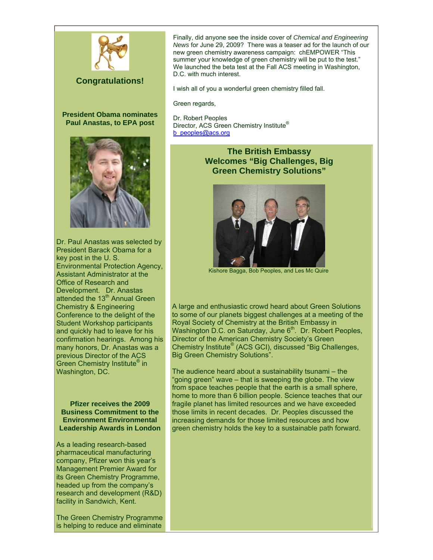

# **Congratulations!**

**President Obama nominates Paul Anastas, to EPA post** 



Dr. Paul Anastas was selected by President Barack Obama for a key post in the U. S. Environmental Protection Agency, Assistant Administrator at the Office of Research and Development. Dr. Anastas attended the 13<sup>th</sup> Annual Green Chemistry & Engineering Conference to the delight of the Student Workshop participants and quickly had to leave for his confirmation hearings. Among his many honors, Dr. Anastas was a previous Director of the ACS Green Chemistry Institute® in Washington, DC.

**Pfizer receives the 2009 Business Commitment to the Environment Environmental Leadership Awards in London** 

As a leading research-based pharmaceutical manufacturing company, Pfizer won this year's Management Premier Award for its Green Chemistry Programme, headed up from the company's research and development (R&D) facility in Sandwich, Kent.

The Green Chemistry Programme is helping to reduce and eliminate

Finally, did anyone see the inside cover of *Chemical and Engineering News* for June 29, 2009? There was a teaser ad for the launch of our new green chemistry awareness campaign: chEMPOWER "This summer your knowledge of green chemistry will be put to the test." We launched the beta test at the Fall ACS meeting in Washington, D.C. with much interest.

I wish all of you a wonderful green chemistry filled fall.

Green regards,

Dr. Robert Peoples Director, ACS Green Chemistry Institute® [b\\_peoples@acs.org](mailto:b_peoples@acs.org)

# **The British Embassy Welcomes "Big Challenges, Big Green Chemistry Solutions"**



Kishore Bagga, Bob Peoples, and Les Mc Quire

A large and enthusiastic crowd heard about Green Solutions to some of our planets biggest challenges at a meeting of the Royal Society of Chemistry at the British Embassy in Washington D.C. on Saturday, June  $6<sup>th</sup>$ . Dr. Robert Peoples, Director of the American Chemistry Society's Green Chemistry Institute® (ACS GCI), discussed "Big Challenges, Big Green Chemistry Solutions".

The audience heard about a sustainability tsunami – the "going green" wave – that is sweeping the globe. The view from space teaches people that the earth is a small sphere, home to more than 6 billion people. Science teaches that our fragile planet has limited resources and we have exceeded those limits in recent decades. Dr. Peoples discussed the increasing demands for those limited resources and how green chemistry holds the key to a sustainable path forward.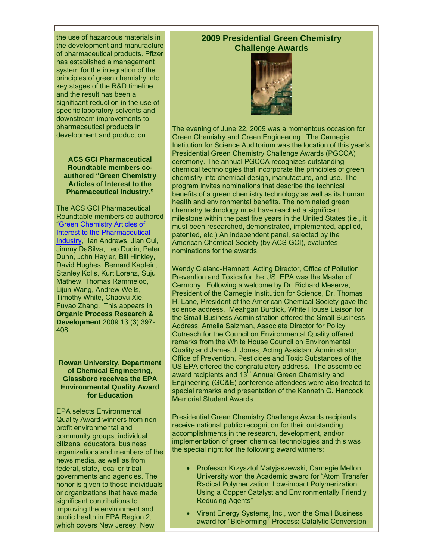the use of hazardous materials in the development and manufacture of pharmaceutical products. Pfizer has established a management system for the integration of the principles of green chemistry into key stages of the R&D timeline and the result has been a significant reduction in the use of specific laboratory solvents and downstream improvements to pharmaceutical products in development and production.

#### **ACS GCI Pharmaceutical Roundtable members coauthored "Green Chemistry Articles of Interest to the Pharmaceutical Industry."**

The ACS GCI Pharmaceutical Roundtable members co-authored ["Green Chemistry Articles of](http://pubs.acs.org/doi/abs/10.1021/op900082k)  [Interest to the Pharmaceutical](http://pubs.acs.org/doi/abs/10.1021/op900082k)  [Industry](http://pubs.acs.org/doi/abs/10.1021/op900082k)," Ian Andrews, Jian Cui, Jimmy DaSilva, Leo Dudin, Peter Dunn, John Hayler, Bill Hinkley, David Hughes, Bernard Kaptein, Stanley Kolis, Kurt Lorenz, Suju Mathew, Thomas Rammeloo, Lijun Wang, Andrew Wells, Timothy White, Chaoyu Xie, Fuyao Zhang. This appears in **Organic Process Research & Development** 2009 13 (3) 397- 408.

**Rowan University, Department of Chemical Engineering, Glassboro receives the EPA Environmental Quality Award for Education** 

EPA selects Environmental Quality Award winners from nonprofit environmental and community groups, individual citizens, educators, business organizations and members of the news media, as well as from federal, state, local or tribal governments and agencies. The honor is given to those individuals or organizations that have made significant contributions to improving the environment and public health in EPA Region 2, which covers New Jersey, New

# **2009 Presidential Green Chemistry Challenge Awards**



The evening of June 22, 2009 was a momentous occasion for Green Chemistry and Green Engineering. The Carnegie Institution for Science Auditorium was the location of this year's Presidential Green Chemistry Challenge Awards (PGCCA) ceremony. The annual PGCCA recognizes outstanding chemical technologies that incorporate the principles of green chemistry into chemical design, manufacture, and use. The program invites nominations that describe the technical benefits of a green chemistry technology as well as its human health and environmental benefits. The nominated green chemistry technology must have reached a significant milestone within the past five years in the United States (i.e., it must been researched, demonstrated, implemented, applied, patented, etc.) An independent panel, selected by the American Chemical Society (by ACS GCI), evaluates nominations for the awards.

Wendy Cleland-Hamnett, Acting Director, Office of Pollution Prevention and Toxics for the US. EPA was the Master of Cermony. Following a welcome by Dr. Richard Meserve, President of the Carnegie Institution for Science, Dr. Thomas H. Lane, President of the American Chemical Society gave the science address. Meahgan Burdick, White House Liaison for the Small Business Administration offered the Small Business Address, Amelia Salzman, Associate Director for Policy Outreach for the Council on Environmental Quality offered remarks from the White House Council on Environmental Quality and James J. Jones, Acting Assistant Administrator, Office of Prevention, Pesticides and Toxic Substances of the US EPA offered the congratulatory address. The assembled award recipients and 13<sup>th</sup> Annual Green Chemistry and Engineering (GC&E) conference attendees were also treated to special remarks and presentation of the Kenneth G. Hancock Memorial Student Awards.

Presidential Green Chemistry Challenge Awards recipients receive national public recognition for their outstanding accomplishments in the research, development, and/or implementation of green chemical technologies and this was the special night for the following award winners:

- Professor Krzysztof Matyjaszewski, Carnegie Mellon University won the Academic award for "Atom Transfer Radical Polymerization: Low-impact Polymerization Using a Copper Catalyst and Environmentally Friendly Reducing Agents"
- Virent Energy Systems, Inc., won the Small Business award for "BioForming® Process: Catalytic Conversion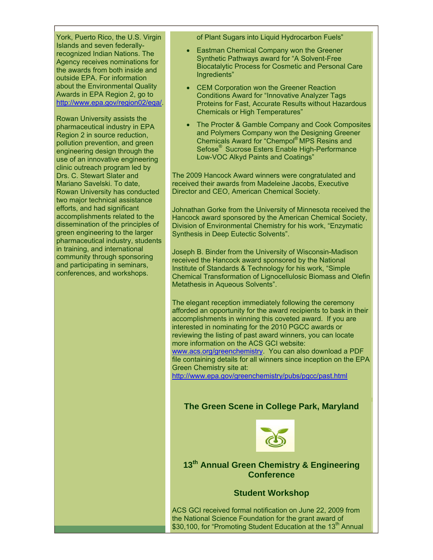York, Puerto Rico, the U.S. Virgin Islands and seven federallyrecognized Indian Nations. The Agency receives nominations for the awards from both inside and outside EPA. For information about the Environmental Quality Awards in EPA Region 2, go to [http://www.epa.gov/region02/eqa/.](http://www.epa.gov/region02/eqa/)

Rowan University assists the pharmaceutical industry in EPA Region 2 in source reduction, pollution prevention, and green engineering design through the use of an innovative engineering clinic outreach program led by Drs. C. Stewart Slater and Mariano Savelski. To date, Rowan University has conducted two major technical assistance efforts, and had significant accomplishments related to the dissemination of the principles of green engineering to the larger pharmaceutical industry, students in training, and international community through sponsoring and participating in seminars, conferences, and workshops.

of Plant Sugars into Liquid Hydrocarbon Fuels"

- Eastman Chemical Company won the Greener Synthetic Pathways award for "A Solvent-Free Biocatalytic Process for Cosmetic and Personal Care Ingredients"
- CEM Corporation won the Greener Reaction Conditions Award for "Innovative Analyzer Tags Proteins for Fast, Accurate Results without Hazardous Chemicals or High Temperatures"
- The Procter & Gamble Company and Cook Composites and Polymers Company won the Designing Greener Chemicals Award for "Chempol® MPS Resins and Sefose® Sucrose Esters Enable High-Performance Low-VOC Alkyd Paints and Coatings"

The 2009 Hancock Award winners were congratulated and received their awards from Madeleine Jacobs, Executive Director and CEO, American Chemical Society.

Johnathan Gorke from the University of Minnesota received the Hancock award sponsored by the American Chemical Society, Division of Environmental Chemistry for his work, "Enzymatic Synthesis in Deep Eutectic Solvents".

Joseph B. Binder from the University of Wisconsin-Madison received the Hancock award sponsored by the National Institute of Standards & Technology for his work, "Simple Chemical Transformation of Lignocellulosic Biomass and Olefin Metathesis in Aqueous Solvents".

The elegant reception immediately following the ceremony afforded an opportunity for the award recipients to bask in their accomplishments in winning this coveted award. If you are interested in nominating for the 2010 PGCC awards or reviewing the listing of past award winners, you can locate more information on the ACS GCI website: [www.acs.org/greenchemistry.](http://www.acs.org/greenchemistry) You can also download a PDF file containing details for all winners since inception on the EPA Green Chemistry site at: <http://www.epa.gov/greenchemistry/pubs/pgcc/past.html>

# **The Green Scene in College Park, Maryland**



**13th Annual Green Chemistry & Engineering Conference** 

## **Student Workshop**

ACS GCI received formal notification on June 22, 2009 from the National Science Foundation for the grant award of \$30,100, for "Promoting Student Education at the 13<sup>th</sup> Annual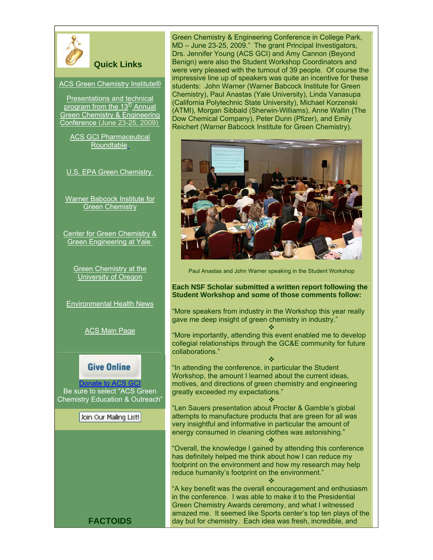

# **Quick Links**

[ACS Green Chemistry Institute®](http://www.acs.org/greenchemistry) 

[Presentations and technical](http://acs.confex.com/acs/green09/webprogram/meeting.html)  program from the  $13<sup>th</sup>$  Annual [Green Chemistry & Engineering](http://acs.confex.com/acs/green09/webprogram/meeting.html)  [Conference](http://acs.confex.com/acs/green09/webprogram/meeting.html) (June 23-25, 2009)

[ACS GCI Pharmaceutical](http://www.acs.org/gcipharmaroundtable)  [Roundtable](http://www.acs.org/gcipharmaroundtable)

[U.S. EPA Green Chemistry](http://www.epa.gov/greenchemistry) 

[Warner Babcock Institute for](http://warnerbabcock.com/index.html)  [Green Chemistry](http://warnerbabcock.com/index.html)

[Center for Green Chemistry &](http://www.greenchemistry.yale.edu/)  [Green Engineering at Yale](http://www.greenchemistry.yale.edu/) 

> [Green Chemistry at the](http://www.uoregon.edu/%7Ehutchlab/greenchem/)  [University of Oregon](http://www.uoregon.edu/%7Ehutchlab/greenchem/)

[Environmental Health News](http://www.environmentalhealthnews.org/)

[ACS Main Page](http://www.acs.org/) 

# **Give Online**

Donate to ACS GC Be sure to select "ACS Green Chemistry Education & Outreach"

Join Our Mailing List!

Green Chemistry & Engineering Conference in College Park, MD – June 23-25, 2009." The grant Principal Investigators, Drs. Jennifer Young (ACS GCI) and Amy Cannon (Beyond Benign) were also the Student Workshop Coordinators and were very pleased with the turnout of 39 people. Of course the impressive line up of speakers was quite an incentive for these students: John Warner (Warner Babcock Institute for Green Chemistry), Paul Anastas (Yale University), Linda Vanasupa (California Polytechnic State University), Michael Korzenski (ATMI), Morgan Sibbald (Sherwin-Williams), Anne Wallin (The Dow Chemical Company), Peter Dunn (Pfizer), and Emily Reichert (Warner Babcock Institute for Green Chemistry).



Paul Anastas and John Warner speaking in the Student Workshop

#### **Each NSF Scholar submitted a written report following the Student Workshop and some of those comments follow:**

"More speakers from industry in the Workshop this year really gave me deep insight of green chemistry in industry."

÷ "More importantly, attending this event enabled me to develop collegial relationships through the GC&E community for future collaborations."

÷ "In attending the conference, in particular the Student Workshop, the amount I learned about the current ideas, motives, and directions of green chemistry and engineering greatly exceeded my expectations." ÷

"Len Sauers presentation about Procter & Gamble's global attempts to manufacture products that are green for all was very insightful and informative in particular the amount of energy consumed in cleaning clothes was astonishing." ÷

"Overall, the knowledge I gained by attending this conference has definitely helped me think about how I can reduce my footprint on the environment and how my research may help reduce humanity's footprint on the environment." ÷

"A key benefit was the overall encouragement and enthusiasm in the conference. I was able to make it to the Presidential Green Chemistry Awards ceremony, and what I witnessed amazed me. It seemed like Sports center's top ten plays of the **FACTOIDS day but for chemistry.** Each idea was fresh, incredible, and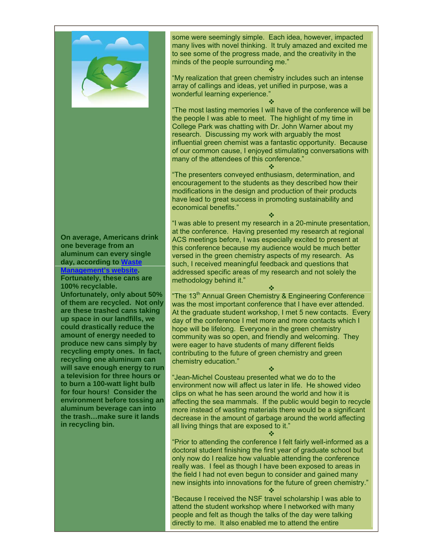

**On average, Americans drink one beverage from an aluminum can every single day, according to [Waste](http://www.thinkgreen.com/)  [Management's website.](http://www.thinkgreen.com/) Fortunately, these cans are** 

**100% recyclable. Unfortunately, only about 50% of them are recycled. Not only are these trashed cans taking up space in our landfills, we could drastically reduce the amount of energy needed to produce new cans simply by recycling empty ones. In fact, recycling one aluminum can will save enough energy to run a television for three hours or to burn a 100-watt light bulb for four hours! Consider the environment before tossing an** 

**the trash…make sure it lands** 

**in recycling bin.** 

**aluminum beverage can into** 

"Prior to attending the conference I felt fairly well-informed as a doctoral student finishing the first year of graduate school but only now do I realize how valuable attending the conference really was. I feel as though I have been exposed to areas in the field I had not even begun to consider and gained many new insights into innovations for the future of green chemistry."

÷

"Because I received the NSF travel scholarship I was able to attend the student workshop where I networked with many people and felt as though the talks of the day were talking directly to me. It also enabled me to attend the entire

some were seemingly simple. Each idea, however, impacted many lives with novel thinking. It truly amazed and excited me to see some of the progress made, and the creativity in the minds of the people surrounding me."

÷ "My realization that green chemistry includes such an intense array of callings and ideas, yet unified in purpose, was a wonderful learning experience."

÷ "The most lasting memories I will have of the conference will be the people I was able to meet. The highlight of my time in College Park was chatting with Dr. John Warner about my research. Discussing my work with arguably the most influential green chemist was a fantastic opportunity. Because of our common cause, I enjoyed stimulating conversations with many of the attendees of this conference."

÷ "The presenters conveyed enthusiasm, determination, and encouragement to the students as they described how their modifications in the design and production of their products have lead to great success in promoting sustainability and economical benefits."

÷ "I was able to present my research in a 20-minute presentation, at the conference. Having presented my research at regional ACS meetings before, I was especially excited to present at this conference because my audience would be much better versed in the green chemistry aspects of my research. As such, I received meaningful feedback and questions that addressed specific areas of my research and not solely the methodology behind it."

÷ "The 13<sup>th</sup> Annual Green Chemistry & Engineering Conference was the most important conference that I have ever attended. At the graduate student workshop, I met 5 new contacts. Every day of the conference I met more and more contacts which I hope will be lifelong. Everyone in the green chemistry community was so open, and friendly and welcoming. They were eager to have students of many different fields contributing to the future of green chemistry and green chemistry education."

÷ "Jean-Michel Cousteau presented what we do to the environment now will affect us later in life. He showed video clips on what he has seen around the world and how it is affecting the sea mammals. If the public would begin to recycle more instead of wasting materials there would be a significant decrease in the amount of garbage around the world affecting all living things that are exposed to it." ÷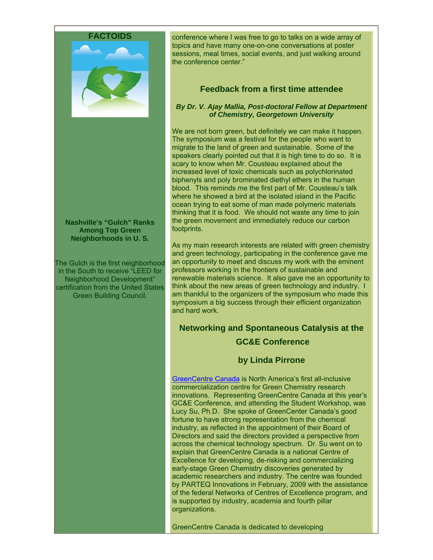

**Nashville's "Gulch" Ranks Among Top Green Neighborhoods in U. S.** 

The Gulch is the first neighborhood in the South to receive "LEED for Neighborhood Development" certification from the United States Green Building Council.

conference where I was free to go to talks on a wide array of topics and have many one-on-one conversations at poster sessions, meal times, social events, and just walking around the conference center."

# **Feedback from a first time attendee**

#### *By Dr. V. Ajay Mallia, Post-doctoral Fellow at Department of Chemistry, Georgetown University*

We are not born green, but definitely we can make it happen. The symposium was a festival for the people who want to migrate to the land of green and sustainable. Some of the speakers clearly pointed out that it is high time to do so. It is scary to know when Mr. Cousteau explained about the increased level of toxic chemicals such as polychlorinated biphenyls and poly brominated diethyl ethers in the human blood. This reminds me the first part of Mr. Cousteau's talk where he showed a bird at the isolated island in the Pacific ocean trying to eat some of man made polymeric materials thinking that it is food. We should not waste any time to join the green movement and immediately reduce our carbon footprints.

As my main research interests are related with green chemistry and green technology, participating in the conference gave me an opportunity to meet and discuss my work with the eminent professors working in the frontiers of sustainable and renewable materials science. It also gave me an opportunity to think about the new areas of green technology and industry. I am thankful to the organizers of the symposium who made this symposium a big success through their efficient organization and hard work.

# **Networking and Spontaneous Catalysis at the GC&E Conference**

## **by Linda Pirrone**

[GreenCentre Canada](http://www.greencentrecanada.com/) is North America's first all-inclusive commercialization centre for Green Chemistry research innovations. Representing GreenCentre Canada at this year's GC&E Conference, and attending the Student Workshop, was Lucy Su, Ph.D. She spoke of GreenCenter Canada's good fortune to have strong representation from the chemical industry, as reflected in the appointment of their Board of Directors and said the directors provided a perspective from across the chemical technology spectrum. Dr. Su went on to explain that GreenCentre Canada is a national Centre of Excellence for developing, de-risking and commercializing early-stage Green Chemistry discoveries generated by academic researchers and industry. The centre was founded by PARTEQ Innovations in February, 2009 with the assistance of the federal Networks of Centres of Excellence program, and is supported by industry, academia and fourth pillar organizations.

GreenCentre Canada is dedicated to developing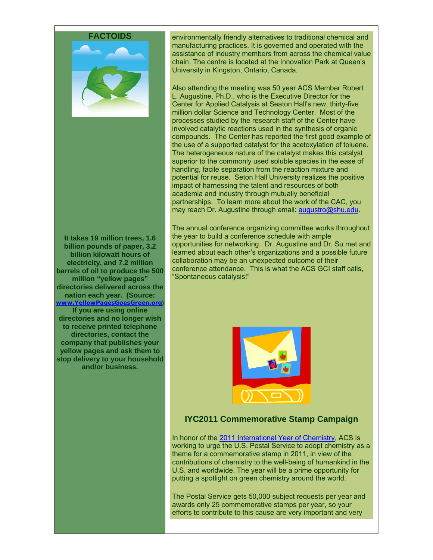

**It takes 19 million trees, 1.6 billion pounds of paper, 3.2 billion kilowatt hours of electricity, and 7.2 million barrels of oil to produce the 500 million "yellow pages" directories delivered across the nation each year. (Source: [www.YellowPagesGoesGreen.org](http://www.yellowpagesgoesgreen.org/)) If you are using online directories and no longer wish to receive printed telephone directories, contact the company that publishes your yellow pages and ask them to stop delivery to your household and/or business.** 

environmentally friendly alternatives to traditional chemical and manufacturing practices. It is governed and operated with the assistance of industry members from across the chemical value chain. The centre is located at the Innovation Park at Queen's University in Kingston, Ontario, Canada.

Also attending the meeting was 50 year ACS Member Robert L. Augustine, Ph.D., who is the Executive Director for the Center for Applied Catalysis at Seaton Hall's new, thirty-five million dollar Science and Technology Center. Most of the processes studied by the research staff of the Center have involved catalytic reactions used in the synthesis of organic compounds. The Center has reported the first good example of the use of a supported catalyst for the acetoxylation of toluene. The heterogeneous nature of the catalyst makes this catalyst superior to the commonly used soluble species in the ease of handling, facile separation from the reaction mixture and potential for reuse. Seton Hall University realizes the positive impact of harnessing the talent and resources of both academia and industry through mutually beneficial partnerships. To learn more about the work of the CAC, you may reach Dr. Augustine through email: [augustro@shu.edu.](mailto:augustro@shu.edu)

The annual conference organizing committee works throughout the year to build a conference schedule with ample opportunities for networking. Dr. Augustine and Dr. Su met and learned about each other's organizations and a possible future collaboration may be an unexpected outcome of their conference attendance. This is what the ACS GCI staff calls, "Spontaneous catalysis!"



#### **IYC2011 Commemorative Stamp Campaign**

In honor of the [2011 International Year of Chemistry,](http://www.acs.org/iyc2011) ACS is working to urge the U.S. Postal Service to adopt chemistry as a theme for a commemorative stamp in 2011, in view of the contributions of chemistry to the well-being of humankind in the U.S. and worldwide. The year will be a prime opportunity for putting a spotlight on green chemistry around the world.

The Postal Service gets 50,000 subject requests per year and awards only 25 commemorative stamps per year, so your efforts to contribute to this cause are very important and very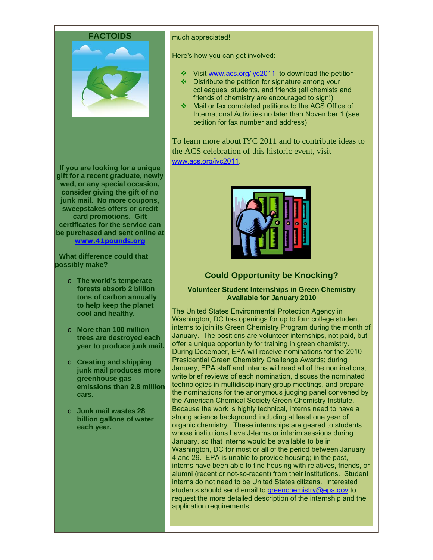

**If you are looking for a unique gift for a recent graduate, newly wed, or any special occasion, consider giving the gift of no junk mail. No more coupons, sweepstakes offers or credit card promotions. Gift certificates for the service can be purchased and sent online at [www.41pounds.org](http://www.41pounds.org/)**

 **What difference could that possibly make?** 

- o **The world's temperate forests absorb 2 billion tons of carbon annually to help keep the planet cool and healthy.**
- o **More than 100 million trees are destroyed each year to produce junk mail.**
- o **Creating and shipping junk mail produces more greenhouse gas emissions than 2.8 million cars.**
- o **Junk mail wastes 28 billion gallons of water each year.**

#### much appreciated!

Here's how you can get involved:

- Visit [www.acs.org/iyc2011](http://www.acs.org/iyc2011) to download the petition
- $\triangleq$  Distribute the petition for signature among your colleagues, students, and friends (all chemists and friends of chemistry are encouraged to sign!)
- Mail or fax completed petitions to the ACS Office of International Activities no later than November 1 (see petition for fax number and address)

To learn more about IYC 2011 and to contribute ideas to the ACS celebration of this historic event, visit [www.acs.org/iyc2011](http://paracom.paramountcommunication.com/ct/3185050:4324176287:m:1:109385524:A3D520A1F16773865D50A97669D96921).



# **Could Opportunity be Knocking?**

#### **Volunteer Student Internships in Green Chemistry Available for January 2010**

The United States Environmental Protection Agency in Washington, DC has openings for up to four college student interns to join its Green Chemistry Program during the month of January. The positions are volunteer internships, not paid, but offer a unique opportunity for training in green chemistry. During December, EPA will receive nominations for the 2010 Presidential Green Chemistry Challenge Awards; during January, EPA staff and interns will read all of the nominations, write brief reviews of each nomination, discuss the nominated technologies in multidisciplinary group meetings, and prepare the nominations for the anonymous judging panel convened by the American Chemical Society Green Chemistry Institute. Because the work is highly technical, interns need to have a strong science background including at least one year of organic chemistry. These internships are geared to students whose institutions have J-terms or interim sessions during January, so that interns would be available to be in Washington, DC for most or all of the period between January 4 and 29. EPA is unable to provide housing; in the past, interns have been able to find housing with relatives, friends, or alumni (recent or not-so-recent) from their institutions. Student interns do not need to be United States citizens. Interested students should send email to [greenchemistry@epa.gov](mailto:greenchemistry@epa.gov) to request the more detailed description of the internship and the application requirements.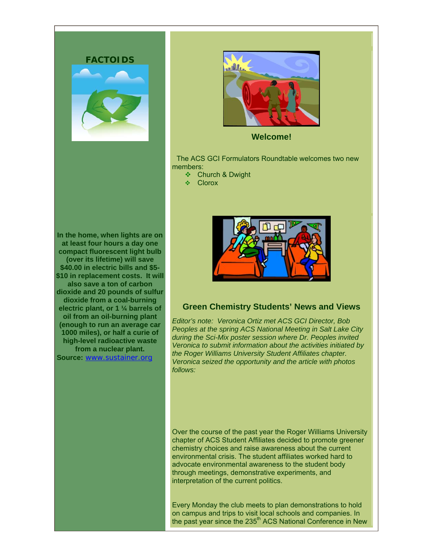



**Welcome!** 

 The ACS GCI Formulators Roundtable welcomes two new members:

- ❖ Church & Dwight
- ❖ Clorox

**In the home, when lights are on at least four hours a day one compact fluorescent light bulb (over its lifetime) will save \$40.00 in electric bills and \$5- \$10 in replacement costs. It will also save a ton of carbon dioxide and 20 pounds of sulfur dioxide from a coal-burning electric plant, or 1 ¼ barrels of oil from an oil-burning plant (enough to run an average car 1000 miles), or half a curie of high-level radioactive waste from a nuclear plant. Source:** [www.sustainer.org](http://www.sustainer.org/)



# **Green Chemistry Students' News and Views**

*Editor's note: Veronica Ortiz met ACS GCI Director, Bob Peoples at the spring ACS National Meeting in Salt Lake City during the Sci-Mix poster session where Dr. Peoples invited Veronica to submit information about the activities initiated by the Roger Williams University Student Affiliates chapter. Veronica seized the opportunity and the article with photos follows:* 

Over the course of the past year the Roger Williams University chapter of ACS Student Affiliates decided to promote greener chemistry choices and raise awareness about the current environmental crisis. The student affiliates worked hard to advocate environmental awareness to the student body through meetings, demonstrative experiments, and interpretation of the current politics.

Every Monday the club meets to plan demonstrations to hold on campus and trips to visit local schools and companies. In the past year since the 235<sup>th</sup> ACS National Conference in New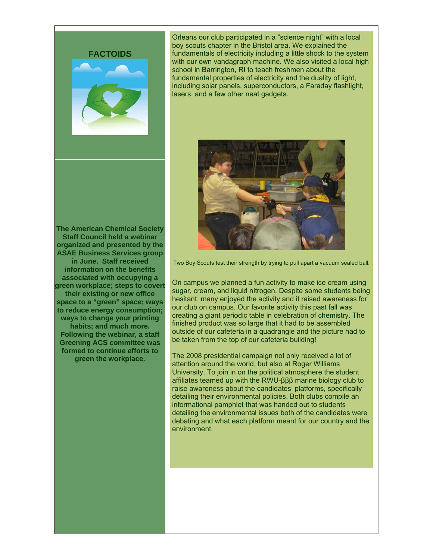

Orleans our club participated in a "science night" with a local boy scouts chapter in the Bristol area. We explained the fundamentals of electricity including a little shock to the system with our own vandagraph machine. We also visited a local high school in Barrington, RI to teach freshmen about the fundamental properties of electricity and the duality of light, including solar panels, superconductors, a Faraday flashlight, lasers, and a few other neat gadgets.

**The American Chemical Society Staff Council held a webinar organized and presented by the ASAE Business Services group in June. Staff received information on the benefits associated with occupying a green workplace; steps to covert their existing or new office space to a "green" space; ways to reduce energy consumption; ways to change your printing habits; and much more. Following the webinar, a staff Greening ACS committee was formed to continue efforts to green the workplace.**



Two Boy Scouts test their strength by trying to pull apart a vacuum sealed ball.

On campus we planned a fun activity to make ice cream using sugar, cream, and liquid nitrogen. Despite some students being hesitant, many enjoyed the activity and it raised awareness for our club on campus. Our favorite activity this past fall was creating a giant periodic table in celebration of chemistry. The finished product was so large that it had to be assembled outside of our cafeteria in a quadrangle and the picture had to be taken from the top of our cafeteria building!

The 2008 presidential campaign not only received a lot of attention around the world, but also at Roger Williams University. To join in on the political atmosphere the student affiliates teamed up with the RWU-βββ marine biology club to raise awareness about the candidates' platforms, specifically detailing their environmental policies. Both clubs compile an informational pamphlet that was handed out to students detailing the environmental issues both of the candidates were debating and what each platform meant for our country and the environment.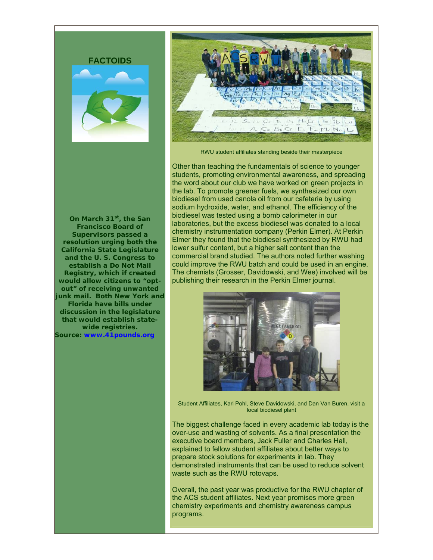





RWU student affiliates standing beside their masterpiece

**On March 31st, the San Francisco Board of Supervisors passed a resolution urging both the California State Legislature and the U. S. Congress to establish a Do Not Mail Registry, which if created would allow citizens to "optout" of receiving unwanted junk mail. Both New York and Florida have bills under discussion in the legislature that would establish statewide registries. Source: [www.41pounds.org](http://www.41pounds.org/)**

Other than teaching the fundamentals of science to younger students, promoting environmental awareness, and spreading the word about our club we have worked on green projects in the lab. To promote greener fuels, we synthesized our own biodiesel from used canola oil from our cafeteria by using sodium hydroxide, water, and ethanol. The efficiency of the biodiesel was tested using a bomb calorimeter in our laboratories, but the excess biodiesel was donated to a local chemistry instrumentation company (Perkin Elmer). At Perkin Elmer they found that the biodiesel synthesized by RWU had lower sulfur content, but a higher salt content than the commercial brand studied. The authors noted further washing could improve the RWU batch and could be used in an engine. The chemists (Grosser, Davidowski, and Wee) involved will be publishing their research in the Perkin Elmer journal.



Student Affiliates, Kari Pohl, Steve Davidowski, and Dan Van Buren, visit a local biodiesel plant

The biggest challenge faced in every academic lab today is the over-use and wasting of solvents. As a final presentation the executive board members, Jack Fuller and Charles Hall, explained to fellow student affiliates about better ways to prepare stock solutions for experiments in lab. They demonstrated instruments that can be used to reduce solvent waste such as the RWU rotovaps.

Overall, the past year was productive for the RWU chapter of the ACS student affiliates. Next year promises more green chemistry experiments and chemistry awareness campus programs.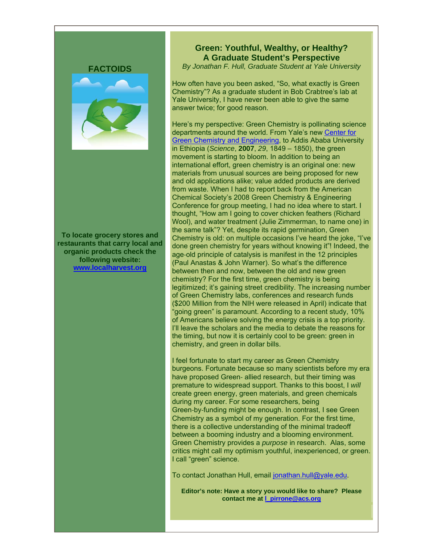**To locate grocery stores and restaurants that carry local and organic products check the following website: [www.localharvest.org](http://www.localharvest.org/)**

# **Green: Youthful, Wealthy, or Healthy? A Graduate Student's Perspective**

*By Jonathan F. Hull, Graduate Student at Yale University* 

How often have you been asked, "So, what exactly is Green Chemistry"? As a graduate student in Bob Crabtree's lab at Yale University, I have never been able to give the same answer twice; for good reason.

Here's my perspective: Green Chemistry is pollinating science departments around the world. From Yale's new [Center for](http://www.greenchemistry.yale.edu/)  [Green Chemistry and Engineering,](http://www.greenchemistry.yale.edu/) to Addis Ababa University in Ethiopia (*Science*, **2007**, *29*, 1849 – 1850), the green movement is starting to bloom. In addition to being an international effort, green chemistry is an original one: new materials from unusual sources are being proposed for new and old applications alike; value added products are derived from waste. When I had to report back from the American Chemical Society's 2008 Green Chemistry & Engineering Conference for group meeting, I had no idea where to start. I thought, "How am I going to cover chicken feathers (Richard Wool), and water treatment (Julie Zimmerman, to name one) in the same talk"? Yet, despite its rapid germination, Green Chemistry is old: on multiple occasions I've heard the joke, "I've done green chemistry for years without knowing it"! Indeed, the age‐old principle of catalysis is manifest in the 12 principles (Paul Anastas & John Warner). So what's the difference between then and now, between the old and new green chemistry? For the first time, green chemistry is being legitimized; it's gaining street credibility. The increasing number of Green Chemistry labs, conferences and research funds (\$200 Million from the NIH were released in April) indicate that "going green" is paramount. According to a recent study, 10% of Americans believe solving the energy crisis is a top priority. I'll leave the scholars and the media to debate the reasons for the timing, but now it is certainly cool to be green: green in chemistry, and green in dollar bills.

I feel fortunate to start my career as Green Chemistry burgeons. Fortunate because so many scientists before my era have proposed Green- allied research, but their timing was premature to widespread support. Thanks to this boost, I *will*  create green energy, green materials, and green chemicals during my career. For some researchers, being Green‐by‐funding might be enough. In contrast, I see Green Chemistry as a symbol of my generation. For the first time, there is a collective understanding of the minimal tradeoff between a booming industry and a blooming environment. Green Chemistry provides a *purpose* in research. Alas, some critics might call my optimism youthful, inexperienced, or green. I call "green" science.

To contact Jonathan Hull, email [jonathan.hull@yale.edu.](mailto:jonathan.hull@yale.edu)

**Editor's note: Have a story you would like to share? Please contact me at [l\\_pirrone@acs.org](mailto:l_pirrone@acs.org)**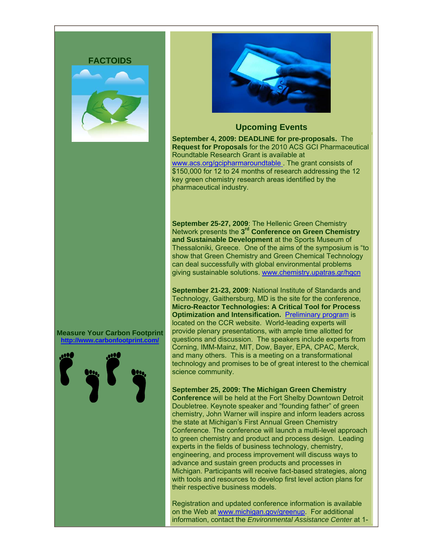



#### **Upcoming Events**

**September 4, 2009: DEADLINE for pre-proposals.** The **Request for Proposals** for the 2010 ACS GCI Pharmaceutical Roundtable Research Grant is available at www.acs.org/gcipharmaroundtable. The grant consists of \$150,000 for 12 to 24 months of research addressing the 12 key green chemistry research areas identified by the pharmaceutical industry.

**September 25-27, 2009**: The Hellenic Green Chemistry Network presents the **3rd Conference on Green Chemistry and Sustainable Development** at the Sports Museum of Thessaloniki, Greece. One of the aims of the symposium is "to show that Green Chemistry and Green Chemical Technology can deal successfully with global environmental problems giving sustainable solutions. [www.chemistry.upatras.gr/hgcn](http://www.chemistry.upatras.gr/hgcn)

**September 21-23, 2009**: National Institute of Standards and Technology, Gaithersburg, MD is the site for the conference, **Micro-Reactor Technologies: A Critical Tool for Process Optimization and Intensification. [Preliminary program](http://www.ccrhq.org/14th-niche-conference-micro-reactor-technologies) is** located on the CCR website. World-leading experts will provide plenary presentations, with ample time allotted for questions and discussion. The speakers include experts from Corning, IMM-Mainz, MIT, Dow, Bayer, EPA, CPAC, Merck, and many others. This is a meeting on a transformational technology and promises to be of great interest to the chemical science community.

**September 25, 2009: The Michigan Green Chemistry Conference** will be held at the Fort Shelby Downtown Detroit Doubletree. Keynote speaker and "founding father" of green chemistry, John Warner will inspire and inform leaders across the state at Michigan's First Annual Green Chemistry Conference. The conference will launch a multi-level approach to green chemistry and product and process design. Leading experts in the fields of business technology, chemistry, engineering, and process improvement will discuss ways to advance and sustain green products and processes in Michigan. Participants will receive fact-based strategies, along with tools and resources to develop first level action plans for their respective business models.

Registration and updated conference information is available on the Web at [www.michigan.gov/greenup](http://www.michigan.gov/greenup). For additional information, contact the *Environmental Assistance Center* at 1-